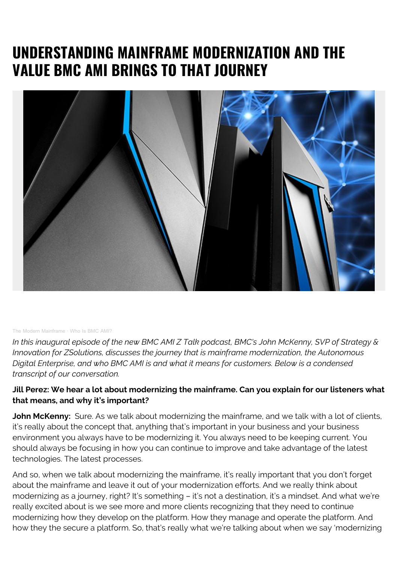# **UNDERSTANDING MAINFRAME MODERNIZATION AND THE VALUE BMC AMI BRINGS TO THAT JOURNEY**



#### [The Modern Mainframe](https://soundcloud.com/modernmainframe) · [Who Is BMC AMI?](https://soundcloud.com/modernmainframe/who-is-bmc-ami)

*In this inaugural episode of the new BMC AMI Z Talk podcast, BMC's John McKenny, SVP of Strategy & Innovation for ZSolutions, discusses the journey that is mainframe modernization, the Autonomous Digital Enterprise, and who BMC AMI is and what it means for customers. Below is a condensed transcript of our conversation.*

#### **Jill Perez: We hear a lot about modernizing the mainframe. Can you explain for our listeners what that means, and why it's important?**

John McKenny: Sure. As we talk about modernizing the mainframe, and we talk with a lot of clients, it's really about the concept that, anything that's important in your business and your business environment you always have to be modernizing it. You always need to be keeping current. You should always be focusing in how you can continue to improve and take advantage of the latest technologies. The latest processes.

And so, when we talk about modernizing the mainframe, it's really important that you don't forget about the mainframe and leave it out of your modernization efforts. And we really think about modernizing as a journey, right? It's something – it's not a destination, it's a mindset. And what we're really excited about is we see more and more clients recognizing that they need to continue modernizing how they develop on the platform. How they manage and operate the platform. And how they the secure a platform. So, that's really what we're talking about when we say 'modernizing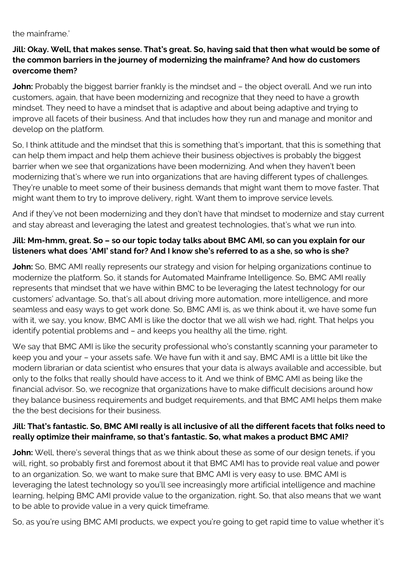the mainframe.'

### **Jill: Okay. Well, that makes sense. That's great. So, having said that then what would be some of the common barriers in the journey of modernizing the mainframe? And how do customers overcome them?**

**John:** Probably the biggest barrier frankly is the mindset and – the object overall. And we run into customers, again, that have been modernizing and recognize that they need to have a growth mindset. They need to have a mindset that is adaptive and about being adaptive and trying to improve all facets of their business. And that includes how they run and manage and monitor and develop on the platform.

So, I think attitude and the mindset that this is something that's important, that this is something that can help them impact and help them achieve their business objectives is probably the biggest barrier when we see that organizations have been modernizing. And when they haven't been modernizing that's where we run into organizations that are having different types of challenges. They're unable to meet some of their business demands that might want them to move faster. That might want them to try to improve delivery, right. Want them to improve service levels.

And if they've not been modernizing and they don't have that mindset to modernize and stay current and stay abreast and leveraging the latest and greatest technologies, that's what we run into.

## **Jill: Mm-hmm, great. So – so our topic today talks about BMC AMI, so can you explain for our listeners what does 'AMI' stand for? And I know she's referred to as a she, so who is she?**

**John:** So, BMC AMI really represents our strategy and vision for helping organizations continue to modernize the platform. So, it stands for Automated Mainframe Intelligence. So, BMC AMI really represents that mindset that we have within BMC to be leveraging the latest technology for our customers' advantage. So, that's all about driving more automation, more intelligence, and more seamless and easy ways to get work done. So, BMC AMI is, as we think about it, we have some fun with it, we say, you know, BMC AMI is like the doctor that we all wish we had, right. That helps you identify potential problems and – and keeps you healthy all the time, right.

We say that BMC AMI is like the security professional who's constantly scanning your parameter to keep you and your – your assets safe. We have fun with it and say, BMC AMI is a little bit like the modern librarian or data scientist who ensures that your data is always available and accessible, but only to the folks that really should have access to it. And we think of BMC AMI as being like the financial advisor. So, we recognize that organizations have to make difficult decisions around how they balance business requirements and budget requirements, and that BMC AMI helps them make the the best decisions for their business.

### **Jill: That's fantastic. So, BMC AMI really is all inclusive of all the different facets that folks need to really optimize their mainframe, so that's fantastic. So, what makes a product BMC AMI?**

**John:** Well, there's several things that as we think about these as some of our design tenets, if you will, right, so probably first and foremost about it that BMC AMI has to provide real value and power to an organization. So, we want to make sure that BMC AMI is very easy to use. BMC AMI is leveraging the latest technology so you'll see increasingly more artificial intelligence and machine learning, helping BMC AMI provide value to the organization, right. So, that also means that we want to be able to provide value in a very quick timeframe.

So, as you're using BMC AMI products, we expect you're going to get rapid time to value whether it's